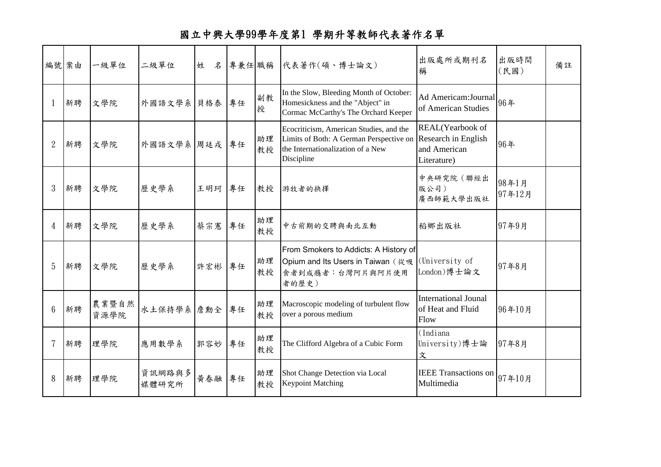## 國立中興大學99學年度第1 學期升等教師代表著作名單

|                | 編號 案由 | 一級單位          | 二級單位            | 姓<br>名 |    |          | 專兼任 職稱 代表著作(碩、博士論文)                                                                                                                                       | 出版處所或期刊名<br>稱                                            | 出版時間<br>(民國)    | 備註 |
|----------------|-------|---------------|-----------------|--------|----|----------|-----------------------------------------------------------------------------------------------------------------------------------------------------------|----------------------------------------------------------|-----------------|----|
|                | 新聘    | 文學院           | 外國語文學系 貝格泰      |        | 專任 | 副教<br>授  | In the Slow, Bleeding Month of October:<br>Homesickness and the "Abject" in<br>Cormac McCarthy's The Orchard Keeper                                       | Ad Americam: Journal $964$<br>of American Studies        |                 |    |
| $\overline{2}$ | 新聘    | 文學院           | 外國語文學系 周廷戎 專任   |        |    | 助理<br>教授 | Ecocriticism, American Studies, and the<br>Limits of Both: A German Perspective on Research in English<br>the Internationalization of a New<br>Discipline | REAL(Yearbook of<br>and American<br>Literature)          | 96年             |    |
| 3              | 新聘    | 文學院           | 歷史學系            | 王明珂 專任 |    | 教授       | 游牧者的抉擇                                                                                                                                                    | 中央研究院(聯經出<br>版公司)<br>廣西師範大學出版社                           | 98年1月<br>97年12月 |    |
| 4              | 新聘    | 文學院           | 歷史學系            | 蔡宗憲    | 專任 | 助理<br>教授 | 中古前期的交聘與南北互動                                                                                                                                              | 稻鄉出版社                                                    | 97年9月           |    |
| 5              | 新聘    | 文學院           | 歷史學系            | 許宏彬 專任 |    | 助理<br>教授 | From Smokers to Addicts: A History of<br>Opium and Its Users in Taiwan (從吸<br>食者到成瘾者:台灣阿片與阿片使用<br>者的歷史)                                                   | (University of<br>London)博士論文                            | 97年8月           |    |
| 6              | 新聘    | 農業暨自然<br>資源學院 | 水土保持學系 詹勳全 專任   |        |    | 助理<br>教授 | Macroscopic modeling of turbulent flow<br>over a porous medium                                                                                            | <b>International Jounal</b><br>of Heat and Fluid<br>Flow | 96年10月          |    |
|                | 新聘    | 理學院           | 應用數學系           | 郭容妙    | 專任 | 助理<br>教授 | The Clifford Algebra of a Cubic Form                                                                                                                      | (Indiana<br>University)博士論<br>文                          | 97年8月           |    |
| 8              | 新聘    | 理學院           | 資訊網路與多<br>媒體研究所 | 黄春融    | 專任 | 助理<br>教授 | Shot Change Detection via Local<br><b>Keypoint Matching</b>                                                                                               | IEEE Transactions on 97年10月<br>Multimedia                |                 |    |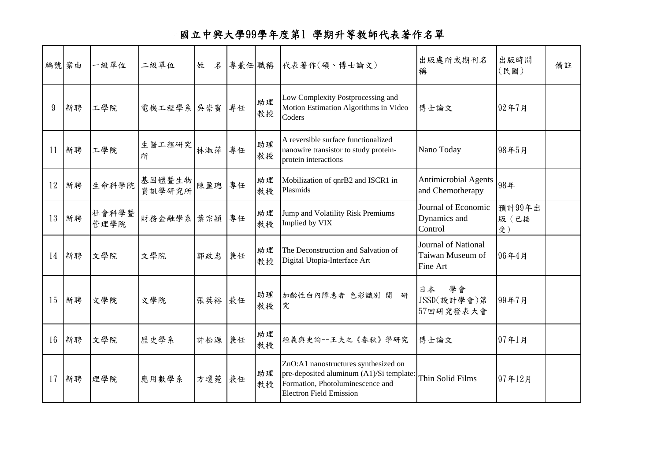## 國立中興大學99學年度第1 學期升等教師代表著作名單

| 編號 案由 |    | 一級單位          | 二級單位             | 姓<br>$\mathcal{Z}$ |    |          | 專兼任 職稱 代表著作(碩、博士論文)                                                                                                                                    | 出版處所或期刊名<br>稱                                       | 出版時間<br>(民國)         | 備註 |
|-------|----|---------------|------------------|--------------------|----|----------|--------------------------------------------------------------------------------------------------------------------------------------------------------|-----------------------------------------------------|----------------------|----|
| 9     | 新聘 | 工學院           | 電機工程學系 吳崇賓       |                    | 專任 | 助理<br>教授 | Low Complexity Postprocessing and<br>Motion Estimation Algorithms in Video<br>Coders                                                                   | 博士論文                                                | 92年7月                |    |
| 11    | 新聘 | 工學院           | 生醫工程研究<br>所      | 林淑萍                | 專任 | 助理<br>教授 | A reversible surface functionalized<br>nanowire transistor to study protein-<br>protein interactions                                                   | Nano Today                                          | 98年5月                |    |
| 12    | 新聘 | 生命科學院         | 基因體暨生物<br>資訊學研究所 | 陳盈璁                | 專任 | 助理<br>教授 | Mobilization of qnrB2 and ISCR1 in<br>Plasmids                                                                                                         | <b>Antimicrobial Agents</b><br>and Chemotherapy     | 98年                  |    |
| 13    | 新聘 | 社會科學暨<br>管理學院 | 財務金融學系 葉宗穎       |                    | 專任 | 助理<br>教授 | Jump and Volatility Risk Premiums<br>Implied by VIX                                                                                                    | Journal of Economic<br>Dynamics and<br>Control      | 預計99年出<br>版(已接<br>受) |    |
| 14    | 新聘 | 文學院           | 文學院              | 郭政忠                | 兼任 | 助理<br>教授 | The Deconstruction and Salvation of<br>Digital Utopia-Interface Art                                                                                    | Journal of National<br>Taiwan Museum of<br>Fine Art | 96年4月                |    |
| 15    | 新聘 | 文學院           | 文學院              | 張英裕 兼任             |    | 助理<br>教授 | 加齢性白內障患者 色彩識別 関<br>研<br>究                                                                                                                              | 學會<br>日本<br>JSSD(設計學會)第<br>57回研究發表大會                | 99年7月                |    |
| 16    | 新聘 | 文學院           | 歷史學系             | 許松源                | 兼任 | 助理<br>教授 | 經義與史論--王夫之《春秋》學研究                                                                                                                                      | 博士論文                                                | 97年1月                |    |
| 17    | 新聘 | 理學院           | 應用數學系            | 方瓊菀 兼任             |    | 助理<br>教授 | ZnO:A1 nanostructures synthesized on<br>pre-deposited aluminum (A1)/Si template:<br>Formation, Photoluminescence and<br><b>Electron Field Emission</b> | Thin Solid Films                                    | 97年12月               |    |